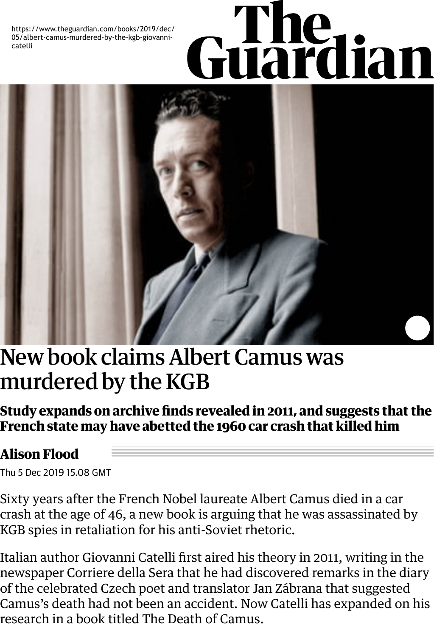<span id="page-0-0"></span>05/albert-camus-murdered-by-the-kgb-giovannicatelli



## [New book claims Albert Camus was](#page-0-0) murdered by the KGB

**Study expands on archive finds revealed in 2011, and suggests that the French state may have abetted the 1960 car crash that killed him**

## **Alison Flood**

[Thu 5 Dec 2019 15.0](https://www.theguardian.com/profile/alisonflood)8 GMT

Sixty years after the French Nobel laureate Albert Camus died in a car crash at the age of 46, a new book is arguing that he was assassinated by KGB spies in retaliation for his anti-Soviet r[hetoric.](https://www.theguardian.com/books/albertcamus)

Italian author Giovanni Catelli first aired his theory in 2011, writing in the newspaper Corriere della Sera that he had discovered remarks in the diary of the celebrated Czech poet a[nd translator Jan Zábrana tha](https://www.theguardian.com/books/2011/aug/07/albert-camus-killed-by-kgb)t suggested Camus's death had not been an accident. Now Catelli has expanded on his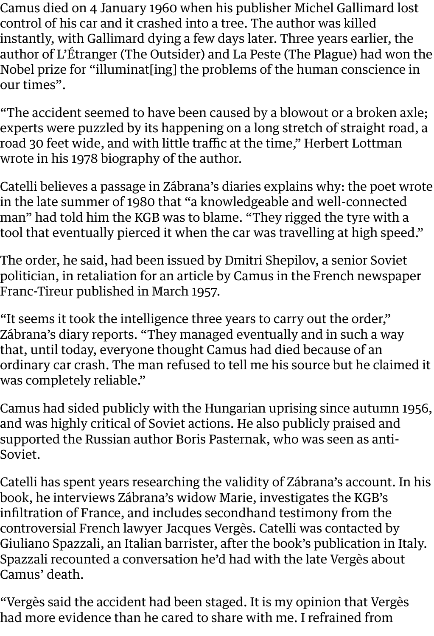control of his car and it crashed into a tree. The author was killed instantly, with Gallimard dying a few days later. Three years earlier, the author of L'Étranger (The Outsider) and La Peste (The Plague) had won the Nobel prize for "illuminat[ing] the problems of the human conscience in our times".

"The accident seemed to have been caused by a blowout or a broken axle; experts were puzzled by its happening on a long stretch of straight road, a road 30 feet wide, and with little traffic at the time," Herbert Lottman wrote in his 1978 biography of the author.

Catelli believes a passage in Zábrana's diaries explains why: the poet wrote in the late summer of 1980 that "a knowledgeable and well-connected man" had told him the KGB was to blame. "They rigged the tyre with a tool that eventually pierced it when the car was travelling at high speed."

The order, he said, had been issued by Dmitri Shepilov, a senior Soviet politician, in retaliation for an article by Camus in the French newspaper Franc-Tireur published in March 1957.

"It seems it took the intelligence three years to carry out the order," Zábrana's diary reports. "They managed eventually and in such a way that, until today, everyone thought Camus had died because of an ordinary car crash. The man refused to tell me his source but he claimed it was completely reliable."

Camus had sided publicly with the Hungarian uprising since autumn 1956, and was highly critical of Soviet actions. He also publicly praised and supported the Russian author Boris Pasternak, who was seen as anti-Soviet.

Catelli has spent years researching the validity of Zábrana's account. In his book, he interviews Zábrana's widow Marie, investigates the KGB's infiltration of France, and includes secondhand testimony from the controversial French lawyer Jacques Vergès. Catelli was contacted by Giuliano Spazzali, an Italian barrister, after the book's publication in Italy. Spazzali reco[unted a conversation he'd had](https://www.theguardian.com/world/2013/aug/16/jacques-verges) with the late Vergès about Camus' death.

"Vergès said the accident had been staged. It is my opinion that Vergès had more evidence than he cared to share with me. I refrained from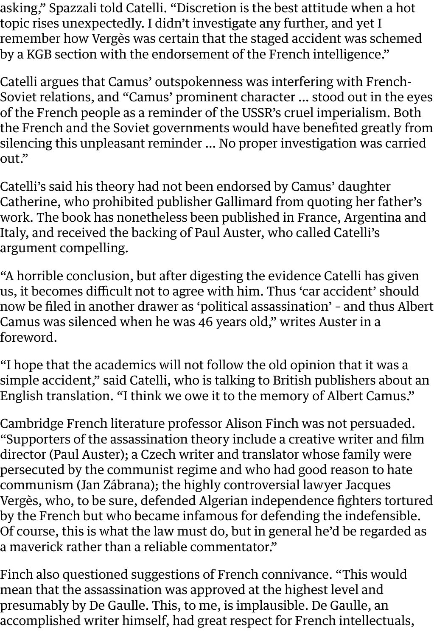topic rises unexpectedly. I didn't investigate any further, and yet I remember how Vergès was certain that the staged accident was schemed by a KGB section with the endorsement of the French intelligence."

Catelli argues that Camus' outspokenness was interfering with French-Soviet relations, and "Camus' prominent character … stood out in the eyes of the French people as a reminder of the USSR's cruel imperialism. Both the French and the Soviet governments would have benefited greatly from silencing this unpleasant reminder … No proper investigation was carried out."

Catelli's said his theory had not been endorsed by Camus' daughter Catherine, who prohibited publisher Gallimard from quoting her father's work. The book has nonetheless been published in France, Argentina and Italy, and received the backing of Paul Auster, who [called C](https://www.theguardian.com/world/france)atelli's argument compelling.

"A horrible conclusion, but after digesting the evidence Catelli has given us, it becomes difficult not to agree with him. Thus 'car accident' should now be filed in another drawer as 'political assassination' – and thus Albert Camus was silenced when he was 46 years old," writes Auster in a foreword.

"I hope that the academics will not follow the old opinion that it was a simple accident," said Catelli, who is talking to British publishers about an English translation. "I think we owe it to the memory of Albert Camus."

Cambridge French literature professor Alison Finch was not persuaded. "Supporters of the assassination theory include a creative writer and film director (Paul Auster); a Czech writer and translator whose family were persecuted by the communist regime and who had good reason to hate communism (Jan Zábrana); the highly controversial lawyer Jacques Vergès, who, to be sure, defended Algerian independence fighters tortured by the French but who became infamous for defending the indefensible. Of course, this is what the law must do, but in general he'd be regarded as a maverick rather than a reliable commentator."

Finch also questioned suggestions of French connivance. "This would mean that the assassination was approved at the highest level and presumably by De Gaulle. This, to me, is implausible. De Gaulle, an accomplished writer himself, had great respect for French intellectuals,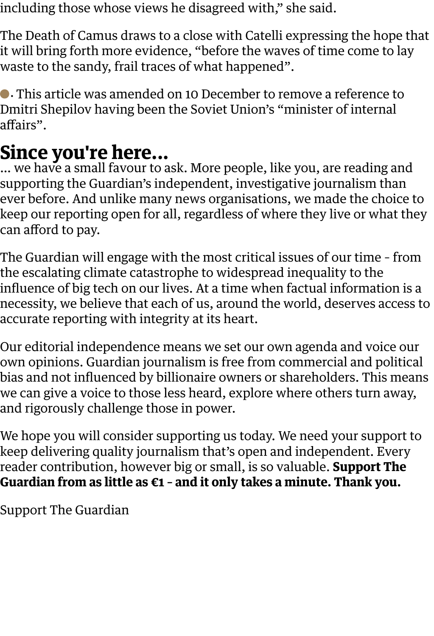The Death of Camus draws to a close with Catelli expressing the hope that it will bring forth more evidence, "before the waves of time come to lay waste to the sandy, frail traces of what happened".

• This article was amended on 10 December to remove a reference to Dmitri Shepilov having been the Soviet Union's "minister of internal affairs".

## **Since you're here...**

… we have a small favour to ask. More people, like you, are reading and supporting the Guardian's independent, investigative journalism than ever before. And unlike many news organisations, we made the choice to keep our reporting open for all, regardless of where they live or what they can afford to pay.

The Guardian will engage with the most critical issues of our time – from the escalating climate catastrophe to widespread inequality to the influence of big tech on our lives. At a time when factual information is a necessity, we believe that each of us, around the world, deserves access to accurate reporting with integrity at its heart.

Our editorial independence means we set our own agenda and voice our own opinions. Guardian journalism is free from commercial and political bias and not influenced by billionaire owners or shareholders. This means we can give a voice to those less heard, explore where others turn away, and rigorously challenge those in power.

We hope you will consider supporting us today. We need your support to keep delivering quality journalism that's open and independent. Every reader contribution, however big or small, is so valuable. **Support The Guardian from as little as €1 – and it only takes a minute. Thank you.**

Support The Guardian